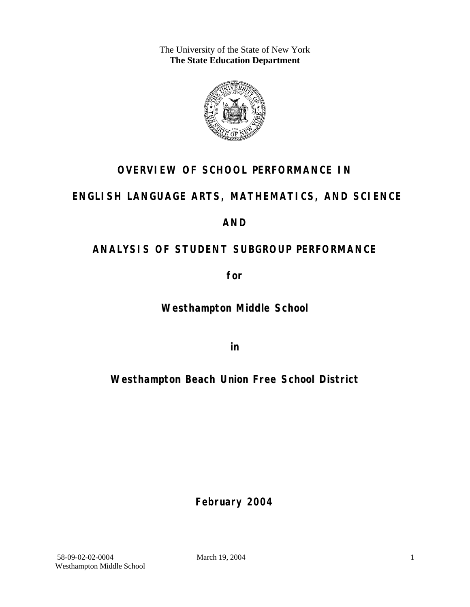The University of the State of New York **The State Education Department** 



# **OVERVIEW OF SCHOOL PERFORMANCE IN**

# **ENGLISH LANGUAGE ARTS, MATHEMATICS, AND SCIENCE**

### **AND**

# **ANALYSIS OF STUDENT SUBGROUP PERFORMANCE**

**for** 

**Westhampton Middle School**

**in** 

# **Westhampton Beach Union Free School District**

**February 2004**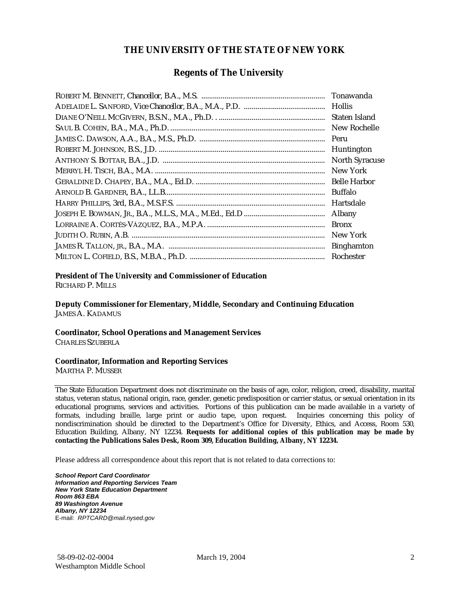### **THE UNIVERSITY OF THE STATE OF NEW YORK**

### **Regents of The University**

| Tonawanda             |
|-----------------------|
| <b>Hollis</b>         |
| Staten Island         |
| New Rochelle          |
| Peru                  |
| Huntington            |
| <b>North Syracuse</b> |
| New York              |
| <b>Belle Harbor</b>   |
| Buffalo               |
| Hartsdale             |
| Albany                |
| <b>Bronx</b>          |
| New York              |
| <b>Binghamton</b>     |
| Rochester             |

#### **President of The University and Commissioner of Education**

RICHARD P. MILLS

**Deputy Commissioner for Elementary, Middle, Secondary and Continuing Education**  JAMES A. KADAMUS

#### **Coordinator, School Operations and Management Services**

CHARLES SZUBERLA

#### **Coordinator, Information and Reporting Services**

MARTHA P. MUSSER

The State Education Department does not discriminate on the basis of age, color, religion, creed, disability, marital status, veteran status, national origin, race, gender, genetic predisposition or carrier status, or sexual orientation in its educational programs, services and activities. Portions of this publication can be made available in a variety of formats, including braille, large print or audio tape, upon request. Inquiries concerning this policy of nondiscrimination should be directed to the Department's Office for Diversity, Ethics, and Access, Room 530, Education Building, Albany, NY 12234. **Requests for additional copies of this publication may be made by contacting the Publications Sales Desk, Room 309, Education Building, Albany, NY 12234.** 

Please address all correspondence about this report that is not related to data corrections to:

*School Report Card Coordinator Information and Reporting Services Team New York State Education Department Room 863 EBA 89 Washington Avenue Albany, NY 12234*  E-mail: *RPTCARD@mail.nysed.gov*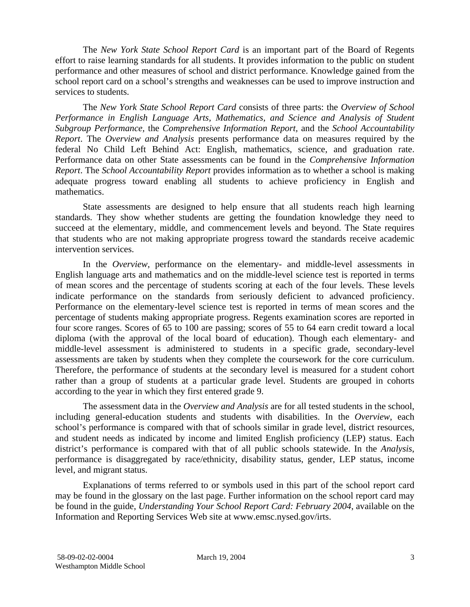The *New York State School Report Card* is an important part of the Board of Regents effort to raise learning standards for all students. It provides information to the public on student performance and other measures of school and district performance. Knowledge gained from the school report card on a school's strengths and weaknesses can be used to improve instruction and services to students.

The *New York State School Report Card* consists of three parts: the *Overview of School Performance in English Language Arts, Mathematics, and Science and Analysis of Student Subgroup Performance,* the *Comprehensive Information Report,* and the *School Accountability Report*. The *Overview and Analysis* presents performance data on measures required by the federal No Child Left Behind Act: English, mathematics, science, and graduation rate. Performance data on other State assessments can be found in the *Comprehensive Information Report*. The *School Accountability Report* provides information as to whether a school is making adequate progress toward enabling all students to achieve proficiency in English and mathematics.

State assessments are designed to help ensure that all students reach high learning standards. They show whether students are getting the foundation knowledge they need to succeed at the elementary, middle, and commencement levels and beyond. The State requires that students who are not making appropriate progress toward the standards receive academic intervention services.

In the *Overview*, performance on the elementary- and middle-level assessments in English language arts and mathematics and on the middle-level science test is reported in terms of mean scores and the percentage of students scoring at each of the four levels. These levels indicate performance on the standards from seriously deficient to advanced proficiency. Performance on the elementary-level science test is reported in terms of mean scores and the percentage of students making appropriate progress. Regents examination scores are reported in four score ranges. Scores of 65 to 100 are passing; scores of 55 to 64 earn credit toward a local diploma (with the approval of the local board of education). Though each elementary- and middle-level assessment is administered to students in a specific grade, secondary-level assessments are taken by students when they complete the coursework for the core curriculum. Therefore, the performance of students at the secondary level is measured for a student cohort rather than a group of students at a particular grade level. Students are grouped in cohorts according to the year in which they first entered grade 9.

The assessment data in the *Overview and Analysis* are for all tested students in the school, including general-education students and students with disabilities. In the *Overview*, each school's performance is compared with that of schools similar in grade level, district resources, and student needs as indicated by income and limited English proficiency (LEP) status. Each district's performance is compared with that of all public schools statewide. In the *Analysis*, performance is disaggregated by race/ethnicity, disability status, gender, LEP status, income level, and migrant status.

Explanations of terms referred to or symbols used in this part of the school report card may be found in the glossary on the last page. Further information on the school report card may be found in the guide, *Understanding Your School Report Card: February 2004*, available on the Information and Reporting Services Web site at www.emsc.nysed.gov/irts.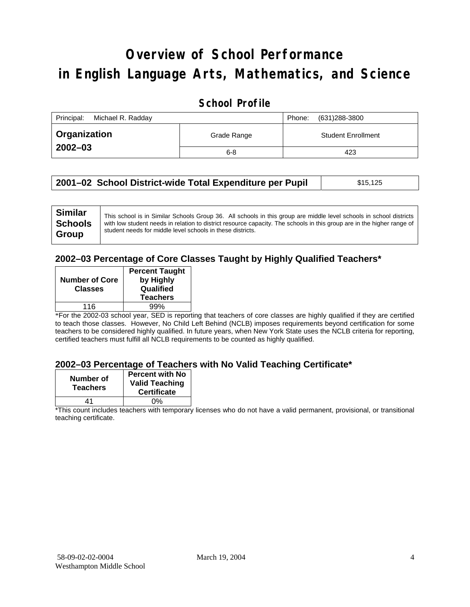# **Overview of School Performance in English Language Arts, Mathematics, and Science**

### **School Profile**

| Principal:<br>Michael R. Radday |             | (631)288-3800<br>Phone:   |
|---------------------------------|-------------|---------------------------|
| ∣ Organization                  | Grade Range | <b>Student Enrollment</b> |
| $2002 - 03$                     | $6 - 8$     | 423                       |

| 2001–02 School District-wide Total Expenditure per Pupil | \$15,125 |
|----------------------------------------------------------|----------|
|----------------------------------------------------------|----------|

### **2002–03 Percentage of Core Classes Taught by Highly Qualified Teachers\***

| <b>Percent Taught</b><br>by Highly<br>Qualified<br><b>Teachers</b> |
|--------------------------------------------------------------------|
| 99%                                                                |
|                                                                    |

\*For the 2002-03 school year, SED is reporting that teachers of core classes are highly qualified if they are certified to teach those classes. However, No Child Left Behind (NCLB) imposes requirements beyond certification for some teachers to be considered highly qualified. In future years, when New York State uses the NCLB criteria for reporting, certified teachers must fulfill all NCLB requirements to be counted as highly qualified.

#### **2002–03 Percentage of Teachers with No Valid Teaching Certificate\***

| Number of<br><b>Teachers</b> | <b>Percent with No</b><br><b>Valid Teaching</b><br><b>Certificate</b> |
|------------------------------|-----------------------------------------------------------------------|
| 41                           | ሰ%                                                                    |

\*This count includes teachers with temporary licenses who do not have a valid permanent, provisional, or transitional teaching certificate.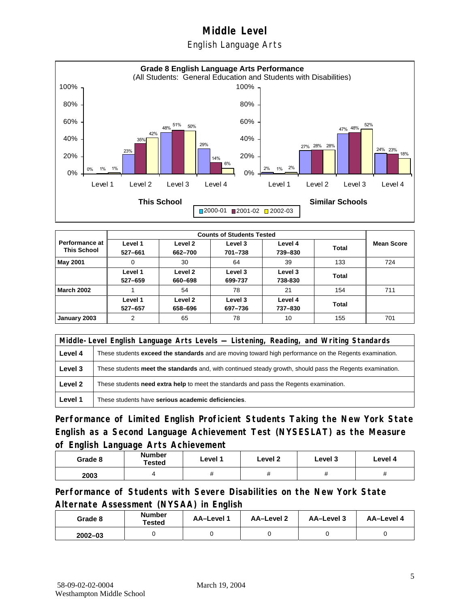### English Language Arts



| <b>Performance at</b><br><b>This School</b> | Level 1<br>527-661 | Level 2<br>662-700 | Level 3<br>701-738 | Level 4<br>739-830 | Total | <b>Mean Score</b> |
|---------------------------------------------|--------------------|--------------------|--------------------|--------------------|-------|-------------------|
| May 2001                                    | 0                  | 30                 | 64                 | 39                 | 133   | 724               |
|                                             | Level 1<br>527-659 | Level 2<br>660-698 | Level 3<br>699-737 | Level 3<br>738-830 | Total |                   |
| <b>March 2002</b>                           |                    | 54                 | 78                 | 21                 | 154   | 711               |
|                                             | Level 1<br>527-657 | Level 2<br>658-696 | Level 3<br>697-736 | Level 4<br>737-830 | Total |                   |
| January 2003                                | 2                  | 65                 | 78                 | 10                 | 155   | 701               |

| Middle-Level English Language Arts Levels — Listening, Reading, and Writing Standards |                                                                                                               |  |
|---------------------------------------------------------------------------------------|---------------------------------------------------------------------------------------------------------------|--|
| Level 4                                                                               | These students <b>exceed the standards</b> and are moving toward high performance on the Regents examination. |  |
| Level 3                                                                               | These students meet the standards and, with continued steady growth, should pass the Regents examination.     |  |
| Level 2                                                                               | These students need extra help to meet the standards and pass the Regents examination.                        |  |
| Level 1                                                                               | These students have serious academic deficiencies.                                                            |  |

**Performance of Limited English Proficient Students Taking the New York State English as a Second Language Achievement Test (NYSESLAT) as the Measure of English Language Arts Achievement**

| Grade 8 | Number<br>Tested | Level 1 | Level 2  | Level 3  | Level 4  |
|---------|------------------|---------|----------|----------|----------|
| 2003    |                  |         | $^{\pi}$ | $^{\pi}$ | $^{\pi}$ |

**Performance of Students with Severe Disabilities on the New York State Alternate Assessment (NYSAA) in English** 

| Grade 8     | <b>Number</b><br>Tested | AA-Level 1 | AA-Level 2 | AA-Level 3 | AA-Level 4 |
|-------------|-------------------------|------------|------------|------------|------------|
| $2002 - 03$ |                         |            |            |            |            |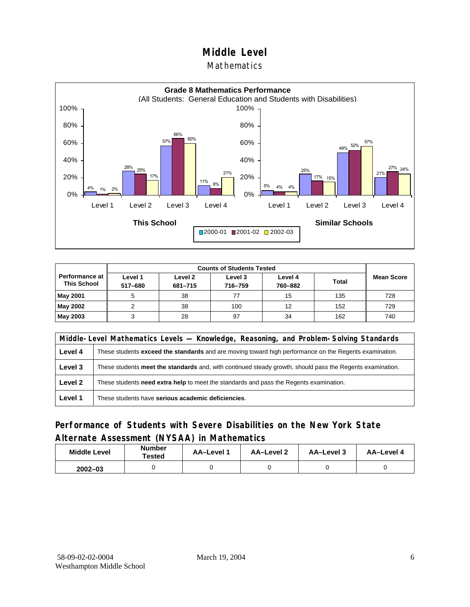#### Mathematics



| <b>Counts of Students Tested</b>     |                    |                    |                    |                    |              |                   |
|--------------------------------------|--------------------|--------------------|--------------------|--------------------|--------------|-------------------|
| Performance at<br><b>This School</b> | Level 1<br>517-680 | Level 2<br>681-715 | Level 3<br>716-759 | Level 4<br>760-882 | <b>Total</b> | <b>Mean Score</b> |
| <b>May 2001</b>                      |                    | 38                 |                    | 15                 | 135          | 728               |
| May 2002                             |                    | 38                 | 100                | 12                 | 152          | 729               |
| May 2003                             |                    | 28                 | 97                 | 34                 | 162          | 740               |

| Middle-Level Mathematics Levels — Knowledge, Reasoning, and Problem-Solving Standards                    |                                                                                                               |  |
|----------------------------------------------------------------------------------------------------------|---------------------------------------------------------------------------------------------------------------|--|
| Level 4                                                                                                  | These students <b>exceed the standards</b> and are moving toward high performance on the Regents examination. |  |
| Level 3                                                                                                  | These students meet the standards and, with continued steady growth, should pass the Regents examination.     |  |
| Level 2<br>These students <b>need extra help</b> to meet the standards and pass the Regents examination. |                                                                                                               |  |
| Level 1                                                                                                  | These students have serious academic deficiencies.                                                            |  |

### **Performance of Students with Severe Disabilities on the New York State Alternate Assessment (NYSAA) in Mathematics**

| <b>Middle Level</b> | <b>Number</b><br>Tested | <b>AA-Level</b> | AA-Level 2 | AA-Level 3 | AA-Level 4 |  |
|---------------------|-------------------------|-----------------|------------|------------|------------|--|
| $2002 - 03$         |                         |                 |            |            |            |  |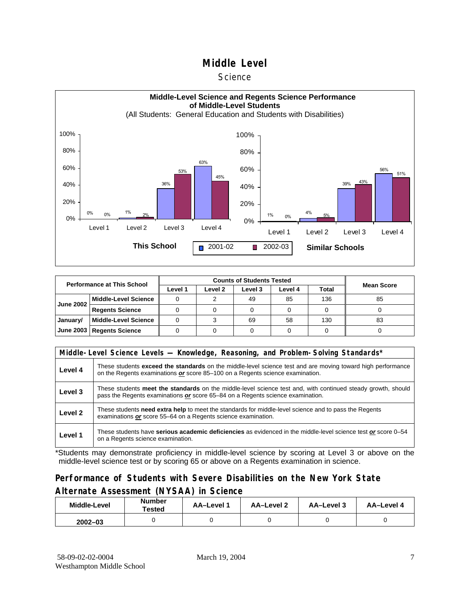#### **Science**



| <b>Performance at This School</b> |                             |         | <b>Mean Score</b> |         |         |       |    |
|-----------------------------------|-----------------------------|---------|-------------------|---------|---------|-------|----|
|                                   |                             | Level 1 | Level 2           | Level 3 | Level 4 | Total |    |
| <b>June 2002</b>                  | l Middle-Level Science      |         |                   | 49      | 85      | 136   | 85 |
|                                   | <b>Regents Science</b>      |         |                   |         |         |       |    |
| January/                          | Middle-Level Science        |         |                   | 69      | 58      | 130   | 83 |
|                                   | June 2003   Regents Science |         |                   |         |         |       |    |

|         | Middle-Level Science Levels — Knowledge, Reasoning, and Problem-Solving Standards*                                                                                                                  |  |  |  |  |  |  |  |
|---------|-----------------------------------------------------------------------------------------------------------------------------------------------------------------------------------------------------|--|--|--|--|--|--|--|
| Level 4 | These students <b>exceed the standards</b> on the middle-level science test and are moving toward high performance<br>on the Regents examinations or score 85–100 on a Regents science examination. |  |  |  |  |  |  |  |
| Level 3 | These students meet the standards on the middle-level science test and, with continued steady growth, should<br>pass the Regents examinations or score 65–84 on a Regents science examination.      |  |  |  |  |  |  |  |
| Level 2 | These students need extra help to meet the standards for middle-level science and to pass the Regents<br>examinations or score 55–64 on a Regents science examination.                              |  |  |  |  |  |  |  |
| Level 1 | These students have serious academic deficiencies as evidenced in the middle-level science test or score 0–54<br>on a Regents science examination.                                                  |  |  |  |  |  |  |  |

\*Students may demonstrate proficiency in middle-level science by scoring at Level 3 or above on the middle-level science test or by scoring 65 or above on a Regents examination in science.

### **Performance of Students with Severe Disabilities on the New York State Alternate Assessment (NYSAA) in Science**

| Middle-Level | <b>Number</b><br>Tested | AA-Level 1 | AA-Level 2 | AA-Level 3 | AA-Level 4 |  |
|--------------|-------------------------|------------|------------|------------|------------|--|
| $2002 - 03$  |                         |            |            |            |            |  |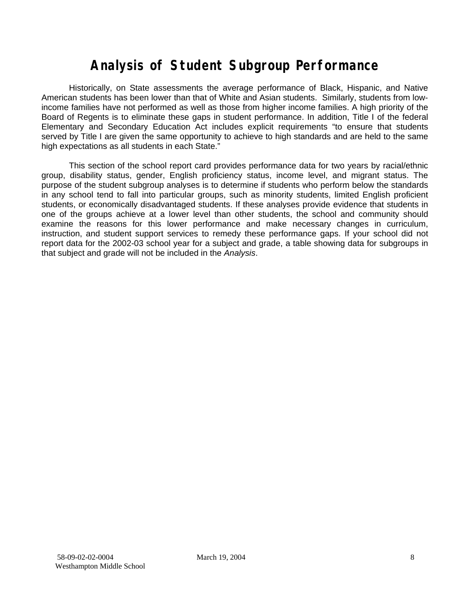# **Analysis of Student Subgroup Performance**

Historically, on State assessments the average performance of Black, Hispanic, and Native American students has been lower than that of White and Asian students. Similarly, students from lowincome families have not performed as well as those from higher income families. A high priority of the Board of Regents is to eliminate these gaps in student performance. In addition, Title I of the federal Elementary and Secondary Education Act includes explicit requirements "to ensure that students served by Title I are given the same opportunity to achieve to high standards and are held to the same high expectations as all students in each State."

This section of the school report card provides performance data for two years by racial/ethnic group, disability status, gender, English proficiency status, income level, and migrant status. The purpose of the student subgroup analyses is to determine if students who perform below the standards in any school tend to fall into particular groups, such as minority students, limited English proficient students, or economically disadvantaged students. If these analyses provide evidence that students in one of the groups achieve at a lower level than other students, the school and community should examine the reasons for this lower performance and make necessary changes in curriculum, instruction, and student support services to remedy these performance gaps. If your school did not report data for the 2002-03 school year for a subject and grade, a table showing data for subgroups in that subject and grade will not be included in the *Analysis*.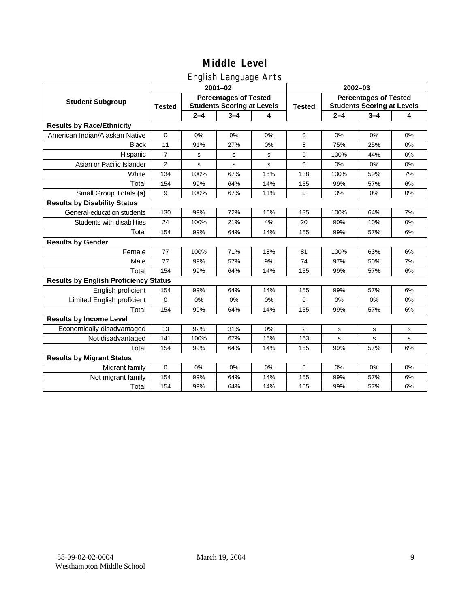### English Language Arts

|                                              |                |         | ັ<br>$2001 - 02$                                                  |     | $2002 - 03$    |                                                                   |             |           |  |
|----------------------------------------------|----------------|---------|-------------------------------------------------------------------|-----|----------------|-------------------------------------------------------------------|-------------|-----------|--|
| <b>Student Subgroup</b>                      | <b>Tested</b>  |         | <b>Percentages of Tested</b><br><b>Students Scoring at Levels</b> |     | <b>Tested</b>  | <b>Percentages of Tested</b><br><b>Students Scoring at Levels</b> |             |           |  |
|                                              |                | $2 - 4$ | $3 - 4$                                                           | 4   |                | $2 - 4$                                                           | $3 - 4$     | 4         |  |
| <b>Results by Race/Ethnicity</b>             |                |         |                                                                   |     |                |                                                                   |             |           |  |
| American Indian/Alaskan Native               | $\mathbf 0$    | 0%      | 0%                                                                | 0%  | 0              | 0%                                                                | 0%          | 0%        |  |
| <b>Black</b>                                 | 11             | 91%     | 27%                                                               | 0%  | 8              | 75%                                                               | 25%         | 0%        |  |
| Hispanic                                     | $\overline{7}$ | s       | s                                                                 | s   | 9              | 100%                                                              | 44%         | 0%        |  |
| Asian or Pacific Islander                    | $\overline{2}$ | s       | $\mathbf s$                                                       | s   | $\mathbf 0$    | 0%                                                                | 0%          | 0%        |  |
| White                                        | 134            | 100%    | 67%                                                               | 15% | 138            | 100%                                                              | 59%         | 7%        |  |
| Total                                        | 154            | 99%     | 64%                                                               | 14% | 155            | 99%                                                               | 57%         | 6%        |  |
| Small Group Totals (s)                       | 9              | 100%    | 67%                                                               | 11% | $\mathbf 0$    | 0%                                                                | 0%          | 0%        |  |
| <b>Results by Disability Status</b>          |                |         |                                                                   |     |                |                                                                   |             |           |  |
| General-education students                   | 130            | 99%     | 72%                                                               | 15% | 135            | 100%                                                              | 64%         | 7%        |  |
| Students with disabilities                   | 24             | 100%    | 21%                                                               | 4%  | 20             | 90%                                                               | 10%         | $0\%$     |  |
| Total                                        | 154            | 99%     | 64%                                                               | 14% | 155            | 99%                                                               | 57%         | 6%        |  |
| <b>Results by Gender</b>                     |                |         |                                                                   |     |                |                                                                   |             |           |  |
| Female                                       | 77             | 100%    | 71%                                                               | 18% | 81             | 100%                                                              | 63%         | 6%        |  |
| Male                                         | 77             | 99%     | 57%                                                               | 9%  | 74             | 97%                                                               | 50%         | 7%        |  |
| Total                                        | 154            | 99%     | 64%                                                               | 14% | 155            | 99%                                                               | 57%         | 6%        |  |
| <b>Results by English Proficiency Status</b> |                |         |                                                                   |     |                |                                                                   |             |           |  |
| English proficient                           | 154            | 99%     | 64%                                                               | 14% | 155            | 99%                                                               | 57%         | 6%        |  |
| Limited English proficient                   | 0              | 0%      | 0%                                                                | 0%  | 0              | 0%                                                                | 0%          | 0%        |  |
| Total                                        | 154            | 99%     | 64%                                                               | 14% | 155            | 99%                                                               | 57%         | 6%        |  |
| <b>Results by Income Level</b>               |                |         |                                                                   |     |                |                                                                   |             |           |  |
| Economically disadvantaged                   | 13             | 92%     | 31%                                                               | 0%  | $\overline{2}$ | s                                                                 | s           | ${\tt s}$ |  |
| Not disadvantaged                            | 141            | 100%    | 67%                                                               | 15% | 153            | $\mathbf s$                                                       | $\mathbf s$ | ${\tt s}$ |  |
| Total                                        | 154            | 99%     | 64%                                                               | 14% | 155            | 99%                                                               | 57%         | 6%        |  |
| <b>Results by Migrant Status</b>             |                |         |                                                                   |     |                |                                                                   |             |           |  |
| Migrant family                               | $\mathbf 0$    | 0%      | 0%                                                                | 0%  | 0              | 0%                                                                | 0%          | 0%        |  |
| Not migrant family                           | 154            | 99%     | 64%                                                               | 14% | 155            | 99%                                                               | 57%         | 6%        |  |
| Total                                        | 154            | 99%     | 64%                                                               | 14% | 155            | 99%                                                               | 57%         | 6%        |  |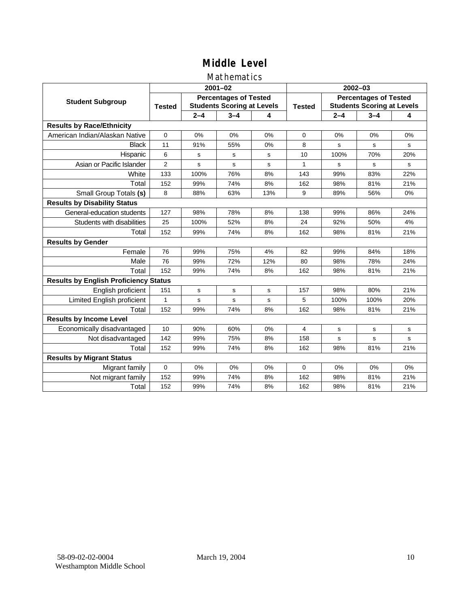### Mathematics

|                                              |                |             | $2001 - 02$                                                       |     | 2002-03       |                                                                   |         |     |  |
|----------------------------------------------|----------------|-------------|-------------------------------------------------------------------|-----|---------------|-------------------------------------------------------------------|---------|-----|--|
| <b>Student Subgroup</b>                      | <b>Tested</b>  |             | <b>Percentages of Tested</b><br><b>Students Scoring at Levels</b> |     | <b>Tested</b> | <b>Percentages of Tested</b><br><b>Students Scoring at Levels</b> |         |     |  |
|                                              |                | $2 - 4$     | $3 - 4$                                                           | 4   |               | $2 - 4$                                                           | $3 - 4$ | 4   |  |
| <b>Results by Race/Ethnicity</b>             |                |             |                                                                   |     |               |                                                                   |         |     |  |
| American Indian/Alaskan Native               | $\mathbf 0$    | 0%          | 0%                                                                | 0%  | $\mathbf 0$   | 0%                                                                | 0%      | 0%  |  |
| <b>Black</b>                                 | 11             | 91%         | 55%                                                               | 0%  | 8             | s                                                                 | s       | s   |  |
| Hispanic                                     | 6              | s           | s                                                                 | s   | 10            | 100%                                                              | 70%     | 20% |  |
| Asian or Pacific Islander                    | $\overline{2}$ | s           | $\mathbf s$                                                       | s   | 1             | s                                                                 | s       | s   |  |
| White                                        | 133            | 100%        | 76%                                                               | 8%  | 143           | 99%                                                               | 83%     | 22% |  |
| Total                                        | 152            | 99%         | 74%                                                               | 8%  | 162           | 98%                                                               | 81%     | 21% |  |
| Small Group Totals (s)                       | 8              | 88%         | 63%                                                               | 13% | 9             | 89%                                                               | 56%     | 0%  |  |
| <b>Results by Disability Status</b>          |                |             |                                                                   |     |               |                                                                   |         |     |  |
| General-education students                   | 127            | 98%         | 78%                                                               | 8%  | 138           | 99%                                                               | 86%     | 24% |  |
| Students with disabilities                   | 25             | 100%        | 52%                                                               | 8%  | 24            | 92%                                                               | 50%     | 4%  |  |
| Total                                        | 152            | 99%         | 74%                                                               | 8%  | 162           | 98%                                                               | 81%     | 21% |  |
| <b>Results by Gender</b>                     |                |             |                                                                   |     |               |                                                                   |         |     |  |
| Female                                       | 76             | 99%         | 75%                                                               | 4%  | 82            | 99%                                                               | 84%     | 18% |  |
| Male                                         | 76             | 99%         | 72%                                                               | 12% | 80            | 98%                                                               | 78%     | 24% |  |
| Total                                        | 152            | 99%         | 74%                                                               | 8%  | 162           | 98%                                                               | 81%     | 21% |  |
| <b>Results by English Proficiency Status</b> |                |             |                                                                   |     |               |                                                                   |         |     |  |
| English proficient                           | 151            | $\mathbf s$ | $\mathbf s$                                                       | s   | 157           | 98%                                                               | 80%     | 21% |  |
| Limited English proficient                   | $\mathbf{1}$   | s           | $\mathbf s$                                                       | S   | 5             | 100%                                                              | 100%    | 20% |  |
| Total                                        | 152            | 99%         | 74%                                                               | 8%  | 162           | 98%                                                               | 81%     | 21% |  |
| <b>Results by Income Level</b>               |                |             |                                                                   |     |               |                                                                   |         |     |  |
| Economically disadvantaged                   | 10             | 90%         | 60%                                                               | 0%  | 4             | s                                                                 | s       | s   |  |
| Not disadvantaged                            | 142            | 99%         | 75%                                                               | 8%  | 158           | s                                                                 | s       | s   |  |
| Total                                        | 152            | 99%         | 74%                                                               | 8%  | 162           | 98%                                                               | 81%     | 21% |  |
| <b>Results by Migrant Status</b>             |                |             |                                                                   |     |               |                                                                   |         |     |  |
| Migrant family                               | 0              | 0%          | 0%                                                                | 0%  | $\mathbf 0$   | 0%                                                                | 0%      | 0%  |  |
| Not migrant family                           | 152            | 99%         | 74%                                                               | 8%  | 162           | 98%                                                               | 81%     | 21% |  |
| Total                                        | 152            | 99%         | 74%                                                               | 8%  | 162           | 98%                                                               | 81%     | 21% |  |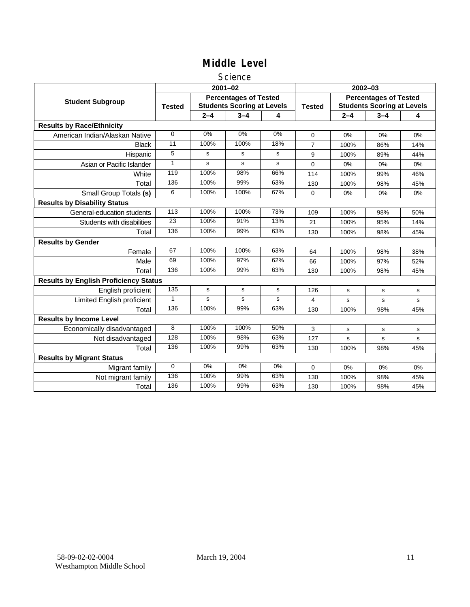#### Science

|                                              |                 |         | $2001 - 02$                                                       |     | $2002 - 03$    |                                                                   |         |             |
|----------------------------------------------|-----------------|---------|-------------------------------------------------------------------|-----|----------------|-------------------------------------------------------------------|---------|-------------|
| <b>Student Subgroup</b>                      | <b>Tested</b>   |         | <b>Percentages of Tested</b><br><b>Students Scoring at Levels</b> |     | <b>Tested</b>  | <b>Percentages of Tested</b><br><b>Students Scoring at Levels</b> |         |             |
|                                              |                 | $2 - 4$ | $3 - 4$                                                           | 4   |                | $2 - 4$                                                           | $3 - 4$ | 4           |
| <b>Results by Race/Ethnicity</b>             |                 |         |                                                                   |     |                |                                                                   |         |             |
| American Indian/Alaskan Native               | $\mathbf 0$     | 0%      | 0%                                                                | 0%  | $\Omega$       | 0%                                                                | 0%      | 0%          |
| <b>Black</b>                                 | 11              | 100%    | 100%                                                              | 18% | $\overline{7}$ | 100%                                                              | 86%     | 14%         |
| Hispanic                                     | 5               | s       | s                                                                 | s   | 9              | 100%                                                              | 89%     | 44%         |
| Asian or Pacific Islander                    | 1               | s       | s                                                                 | s   | 0              | 0%                                                                | 0%      | 0%          |
| White                                        | 119             | 100%    | 98%                                                               | 66% | 114            | 100%                                                              | 99%     | 46%         |
| Total                                        | 136             | 100%    | 99%                                                               | 63% | 130            | 100%                                                              | 98%     | 45%         |
| Small Group Totals (s)                       | 6               | 100%    | 100%                                                              | 67% | 0              | 0%                                                                | 0%      | 0%          |
| <b>Results by Disability Status</b>          |                 |         |                                                                   |     |                |                                                                   |         |             |
| General-education students                   | 113             | 100%    | 100%                                                              | 73% | 109            | 100%                                                              | 98%     | 50%         |
| Students with disabilities                   | $\overline{23}$ | 100%    | 91%                                                               | 13% | 21             | 100%                                                              | 95%     | 14%         |
| Total                                        | 136             | 100%    | 99%                                                               | 63% | 130            | 100%                                                              | 98%     | 45%         |
| <b>Results by Gender</b>                     |                 |         |                                                                   |     |                |                                                                   |         |             |
| Female                                       | 67              | 100%    | 100%                                                              | 63% | 64             | 100%                                                              | 98%     | 38%         |
| Male                                         | 69              | 100%    | 97%                                                               | 62% | 66             | 100%                                                              | 97%     | 52%         |
| Total                                        | 136             | 100%    | 99%                                                               | 63% | 130            | 100%                                                              | 98%     | 45%         |
| <b>Results by English Proficiency Status</b> |                 |         |                                                                   |     |                |                                                                   |         |             |
| English proficient                           | 135             | s       | s                                                                 | s   | 126            | s                                                                 | s       | s           |
| Limited English proficient                   | $\mathbf{1}$    | s       | s                                                                 | s   | 4              | s                                                                 | s       | s           |
| Total                                        | 136             | 100%    | 99%                                                               | 63% | 130            | 100%                                                              | 98%     | 45%         |
| <b>Results by Income Level</b>               |                 |         |                                                                   |     |                |                                                                   |         |             |
| Economically disadvantaged                   | 8               | 100%    | 100%                                                              | 50% | 3              | s                                                                 | s       | s           |
| Not disadvantaged                            | 128             | 100%    | 98%                                                               | 63% | 127            | s                                                                 | s       | $\mathbf s$ |
| Total                                        | 136             | 100%    | 99%                                                               | 63% | 130            | 100%                                                              | 98%     | 45%         |
| <b>Results by Migrant Status</b>             |                 |         |                                                                   |     |                |                                                                   |         |             |
| Migrant family                               | $\mathbf 0$     | 0%      | 0%                                                                | 0%  | 0              | 0%                                                                | 0%      | 0%          |
| Not migrant family                           | 136             | 100%    | 99%                                                               | 63% | 130            | 100%                                                              | 98%     | 45%         |
| Total                                        | 136             | 100%    | 99%                                                               | 63% | 130            | 100%                                                              | 98%     | 45%         |